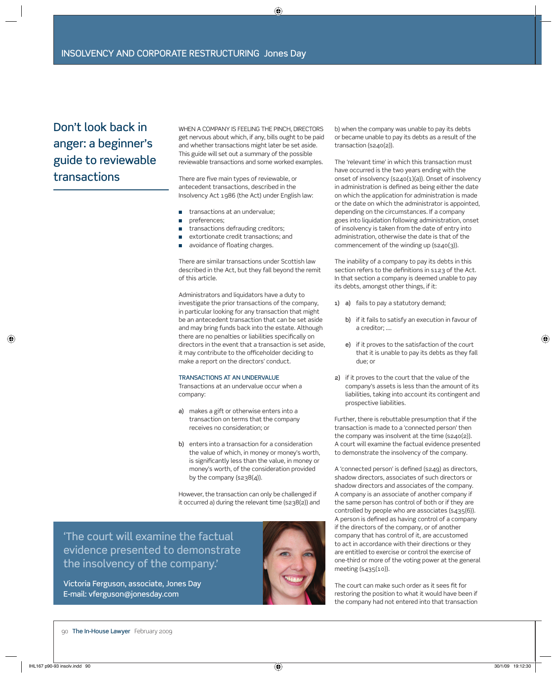# Don't look back in anger: a beginner's guide to reviewable transactions

 WHEN A COMPANY IS FEELING THE PINCH, DIRECTORS get nervous about which, if any, bills ought to be paid and whether transactions might later be set aside. This guide will set out a summary of the possible reviewable transactions and some worked examples.

There are five main types of reviewable, or antecedent transactions, described in the Insolvency Act 1986 (the Act) under English law:

- transactions at an undervalue;
- **n** preferences:
- transactions defrauding creditors;
- extortionate credit transactions; and
- avoidance of floating charges.

 There are similar transactions under Scottish law described in the Act, but they fall beyond the remit of this article.

 Administrators and liquidators have a duty to investigate the prior transactions of the company, in particular looking for any transaction that might be an antecedent transaction that can be set aside and may bring funds back into the estate. Although there are no penalties or liabilities specifically on directors in the event that a transaction is set aside, it may contribute to the officeholder deciding to make a report on the directors' conduct.

#### TRANSACTIONS AT AN UNDERVALUE

 Transactions at an undervalue occur when a company:

- a) makes a gift or otherwise enters into a transaction on terms that the company receives no consideration; or
- b) enters into a transaction for a consideration the value of which, in money or money's worth, is significantly less than the value, in money or money's worth, of the consideration provided by the company (s238(4)).

 However, the transaction can only be challenged if it occurred a) during the relevant time (s238(2)) and

'The court will examine the factual evidence presented to demonstrate the insolvency of the company.'

 Victoria Ferguson, associate, Jones Day E-mail: vferguson@jonesday.com



b) when the company was unable to pay its debts or became unable to pay its debts as a result of the transaction (s240(2)).

 The 'relevant time' in which this transaction must have occurred is the two years ending with the onset of insolvency (s240(1)(a)). Onset of insolvency in administration is defined as being either the date on which the application for administration is made or the date on which the administrator is appointed, depending on the circumstances. If a company goes into liquidation following administration, onset of insolvency is taken from the date of entry into administration, otherwise the date is that of the commencement of the winding up (s240(3)).

 The inability of a company to pay its debts in this section refers to the definitions in s123 of the Act. In that section a company is deemed unable to pay its debts, amongst other things, if it:

- 1) a) fails to pay a statutory demand;
	- b) if it fails to satisfy an execution in favour of a creditor; ….
	- e) if it proves to the satisfaction of the court that it is unable to pay its debts as they fall due; or
- 2) if it proves to the court that the value of the company's assets is less than the amount of its liabilities, taking into account its contingent and prospective liabilities.

 Further, there is rebuttable presumption that if the transaction is made to a 'connected person' then the company was insolvent at the time (s240(2)). A court will examine the factual evidence presented to demonstrate the insolvency of the company.

A 'connected person' is defined (s249) as directors, shadow directors, associates of such directors or shadow directors and associates of the company. A company is an associate of another company if the same person has control of both or if they are controlled by people who are associates (s435(6)). A person is defined as having control of a company if the directors of the company, or of another company that has control of it, are accustomed to act in accordance with their directions or they are entitled to exercise or control the exercise of one-third or more of the voting power at the general meeting (s435(10)).

The court can make such order as it sees fit for restoring the position to what it would have been if the company had not entered into that transaction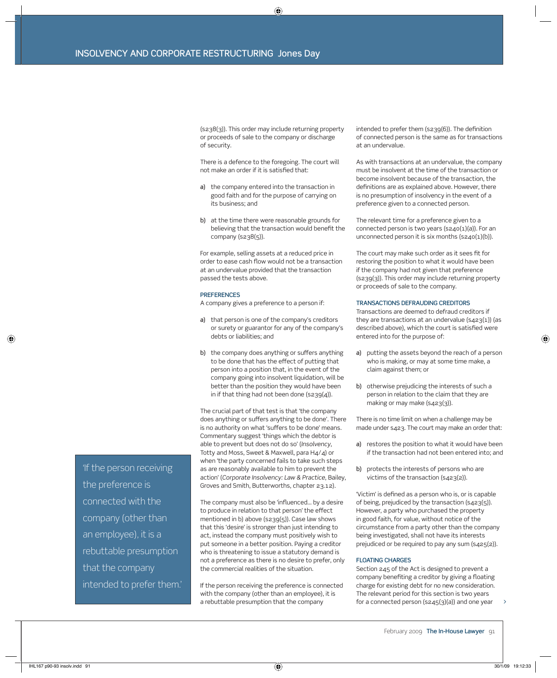(s238(3)). This order may include returning property or proceeds of sale to the company or discharge of security.

 There is a defence to the foregoing. The court will not make an order if it is satisfied that:

- a) the company entered into the transaction in good faith and for the purpose of carrying on its business; and
- b) at the time there were reasonable grounds for believing that the transaction would benefit the company (s238(5)).

 For example, selling assets at a reduced price in order to ease cash flow would not be a transaction at an undervalue provided that the transaction passed the tests above.

#### **PREFERENCES**

A company gives a preference to a person if:

- a) that person is one of the company's creditors or surety or guarantor for any of the company's debts or liabilities; and
- b) the company does anything or suffers anything to be done that has the effect of putting that person into a position that, in the event of the company going into insolvent liquidation, will be better than the position they would have been in if that thing had not been done (s239(4)).

 The crucial part of that test is that 'the company does anything or suffers anything to be done'. There is no authority on what 'suffers to be done' means. Commentary suggest 'things which the debtor is able to prevent but does not do so' (*Insolvency*, Totty and Moss, Sweet & Maxwell, para H4/4) or when 'the party concerned fails to take such steps as are reasonably available to him to prevent the action' (*Corporate Insolvency: Law & Practice*, Bailey, Groves and Smith, Butterworths, chapter 23.12).

The company must also be 'influenced... by a desire to produce in relation to that person' the effect mentioned in b) above (s239(5)). Case law shows that this 'desire' is stronger than just intending to act, instead the company must positively wish to put someone in a better position. Paying a creditor who is threatening to issue a statutory demand is not a preference as there is no desire to prefer, only the commercial realities of the situation.

 If the person receiving the preference is connected with the company (other than an employee), it is a rebuttable presumption that the company

intended to prefer them (s239(6)). The definition of connected person is the same as for transactions at an undervalue.

 As with transactions at an undervalue, the company must be insolvent at the time of the transaction or become insolvent because of the transaction, the definitions are as explained above. However, there is no presumption of insolvency in the event of a preference given to a connected person.

 The relevant time for a preference given to a connected person is two years (s240(1)(a)). For an unconnected person it is six months (s240(1)(b)).

The court may make such order as it sees fit for restoring the position to what it would have been if the company had not given that preference (s239(3)). This order may include returning property or proceeds of sale to the company.

#### TRANSACTIONS DEFRAUDING CREDITORS

 Transactions are deemed to defraud creditors if they are transactions at an undervalue  $(s_{423}(1))$  (as described above), which the court is satisfied were entered into for the purpose of:

- a) putting the assets beyond the reach of a person who is making, or may at some time make, a claim against them; or
- b) otherwise prejudicing the interests of such a person in relation to the claim that they are making or may make (s423(3)).

 There is no time limit on when a challenge may be made under s423. The court may make an order that:

- a) restores the position to what it would have been if the transaction had not been entered into; and
- b) protects the interests of persons who are victims of the transaction (s423(2)).

'Victim' is defined as a person who is, or is capable of being, prejudiced by the transaction (s423(5)). However, a party who purchased the property in good faith, for value, without notice of the circumstance from a party other than the company being investigated, shall not have its interests prejudiced or be required to pay any sum (s425(2)).

### FLOATING CHARGES

 Section 245 of the Act is designed to prevent a company benefiting a creditor by giving a floating charge for existing debt for no new consideration. The relevant period for this section is two years for a connected person (s245(3)(a)) and one year

'If the person receiving the preference is connected with the company (other than an employee), it is a rebuttable presumption that the company intended to prefer them.'

>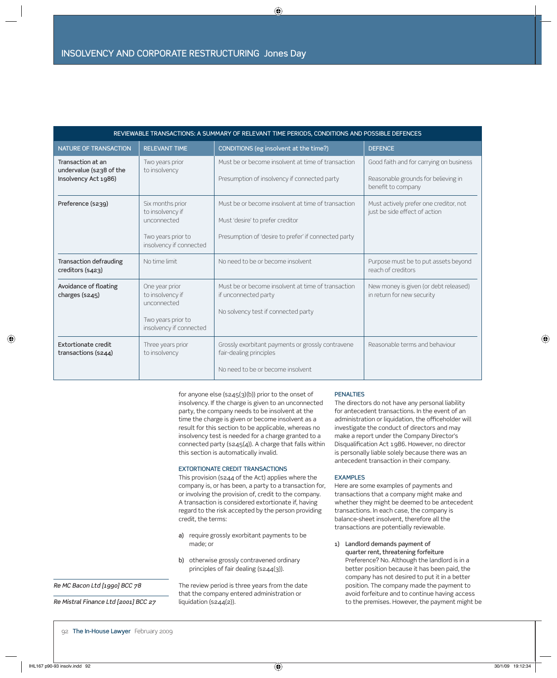| REVIEWABLE TRANSACTIONS: A SUMMARY OF RELEVANT TIME PERIODS, CONDITIONS AND POSSIBLE DEFENCES |                                                                                                      |                                                                                                                                                |                                                                                                      |
|-----------------------------------------------------------------------------------------------|------------------------------------------------------------------------------------------------------|------------------------------------------------------------------------------------------------------------------------------------------------|------------------------------------------------------------------------------------------------------|
| NATURE OF TRANSACTION                                                                         | <b>RELEVANT TIME</b>                                                                                 | CONDITIONS (eg insolvent at the time?)                                                                                                         | <b>DEFENCE</b>                                                                                       |
| Transaction at an<br>undervalue (s238 of the<br>Insolvency Act 1986)                          | Two years prior<br>to insolvency                                                                     | Must be or become insolvent at time of transaction<br>Presumption of insolvency if connected party                                             | Good faith and for carrying on business<br>Reasonable grounds for believing in<br>benefit to company |
| Preference (s239)                                                                             | Six months prior<br>to insolvency if<br>unconnected<br>Two years prior to<br>insolvency if connected | Must be or become insolvent at time of transaction<br>Must 'desire' to prefer creditor<br>Presumption of 'desire to prefer' if connected party | Must actively prefer one creditor, not<br>just be side effect of action                              |
| <b>Transaction defrauding</b><br>creditors (s423)                                             | No time limit                                                                                        | No need to be or become insolvent                                                                                                              | Purpose must be to put assets beyond<br>reach of creditors                                           |
| Avoidance of floating<br>charges (s245)                                                       | One year prior<br>to insolvency if<br>unconnected<br>Two years prior to<br>insolvency if connected   | Must be or become insolvent at time of transaction<br>if unconnected party<br>No solvency test if connected party                              | New money is given (or debt released)<br>in return for new security                                  |
| Extortionate credit<br>transactions (s244)                                                    | Three years prior<br>to insolvency                                                                   | Grossly exorbitant payments or grossly contravene<br>fair-dealing principles<br>No need to be or become insolvent                              | Reasonable terms and behaviour                                                                       |

for anyone else (s245(3)(b)) prior to the onset of insolvency. If the charge is given to an unconnected party, the company needs to be insolvent at the time the charge is given or become insolvent as a result for this section to be applicable, whereas no insolvency test is needed for a charge granted to a connected party ( $s245(4)$ ). A charge that falls within this section is automatically invalid.

## EXTORTIONATE CREDIT TRANSACTIONS

 This provision (s244 of the Act) applies where the company is, or has been, a party to a transaction for, or involving the provision of, credit to the company. A transaction is considered extortionate if, having regard to the risk accepted by the person providing credit, the terms:

- a) require grossly exorbitant payments to be made; or
- b) otherwise grossly contravened ordinary principles of fair dealing (s244(3)).

## Re MC Bacon Ltd [1990] BCC 78

Re Mistral Finance Ltd [2001] BCC 27

 The review period is three years from the date that the company entered administration or liquidation (s244(2)).

## PENALTIES

 The directors do not have any personal liability for antecedent transactions. In the event of an administration or liquidation, the officeholder will investigate the conduct of directors and may make a report under the Company Director's Disqualification Act 1986. However, no director is personally liable solely because there was an antecedent transaction in their company.

#### **EXAMPLES**

 Here are some examples of payments and transactions that a company might make and whether they might be deemed to be antecedent transactions. In each case, the company is balance-sheet insolvent, therefore all the transactions are potentially reviewable.

 1) Landlord demands payment of quarter rent, threatening forfeiture Preference? No. Although the landlord is in a better position because it has been paid, the company has not desired to put it in a better position. The company made the payment to avoid forfeiture and to continue having access to the premises. However, the payment might be